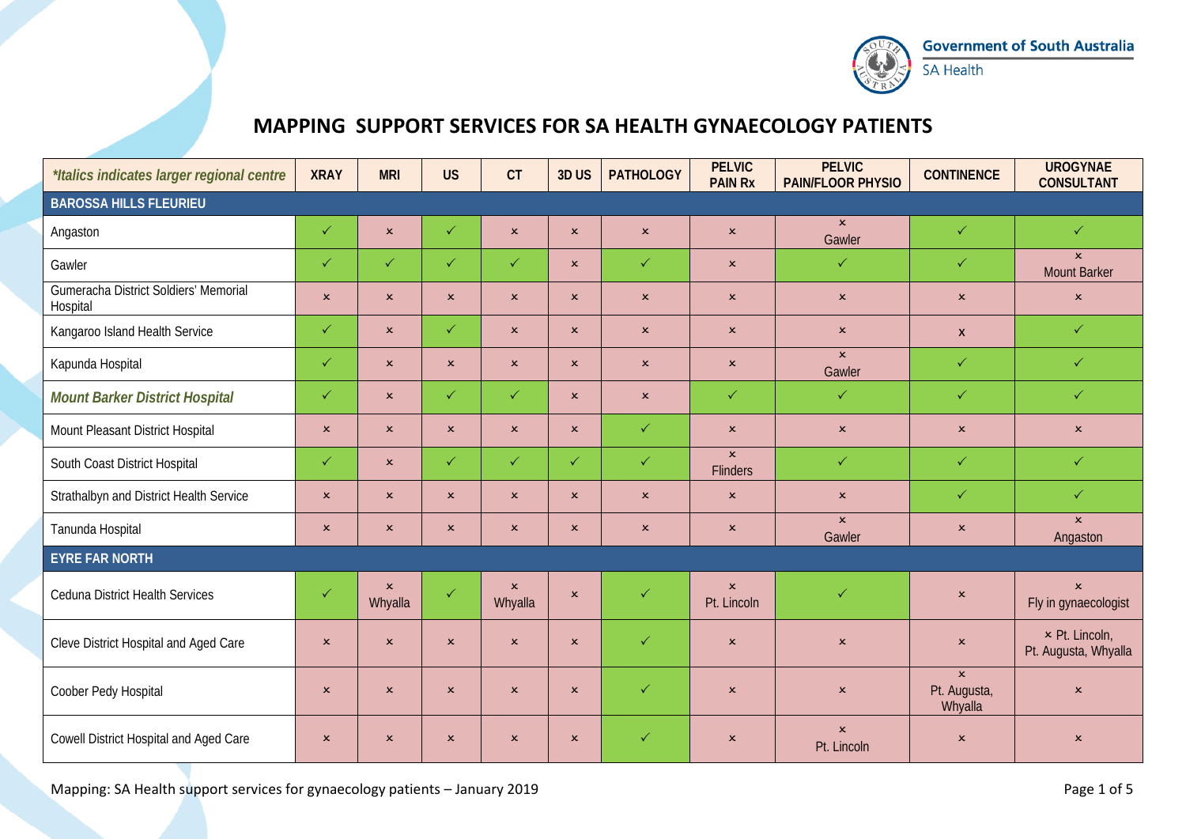

## **MAPPING SUPPORT SERVICES FOR SA HEALTH GYNAECOLOGY PATIENTS**

| *Italics indicates larger regional centre         | <b>XRAY</b>               | <b>MRI</b>                | <b>US</b>      | CT                        | 3DUS           | <b>PATHOLOGY</b> | <b>PELVIC</b><br><b>PAIN Rx</b> | <b>PELVIC</b><br><b>PAIN/FLOOR PHYSIO</b> | <b>CONTINENCE</b>                       | <b>UROGYNAE</b><br><b>CONSULTANT</b>          |  |  |
|---------------------------------------------------|---------------------------|---------------------------|----------------|---------------------------|----------------|------------------|---------------------------------|-------------------------------------------|-----------------------------------------|-----------------------------------------------|--|--|
| <b>BAROSSA HILLS FLEURIEU</b>                     |                           |                           |                |                           |                |                  |                                 |                                           |                                         |                                               |  |  |
| Angaston                                          | $\checkmark$              | $\pmb{\times}$            | $\checkmark$   | $\pmb{\times}$            | $\pmb{\times}$ | $\mathbf{x}$     | $\pmb{\times}$                  | $\mathsf{x}$<br>Gawler                    | $\checkmark$                            | $\checkmark$                                  |  |  |
| Gawler                                            | $\checkmark$              | $\checkmark$              | $\checkmark$   | $\checkmark$              | $\mathsf{x}$   | $\checkmark$     | $\boldsymbol{\mathsf{x}}$       | $\checkmark$                              | $\checkmark$                            | $\mathsf{x}$<br><b>Mount Barker</b>           |  |  |
| Gumeracha District Soldiers' Memorial<br>Hospital | $\mathsf{x}$              | $\pmb{\times}$            | $\mathbf{x}$   | $\pmb{\times}$            | $\mathsf{x}$   | $\mathbf{x}$     | $\boldsymbol{\mathsf{x}}$       | $\pmb{\times}$                            | $\pmb{\times}$                          | $\pmb{\times}$                                |  |  |
| Kangaroo Island Health Service                    | $\checkmark$              | $\pmb{\times}$            | $\checkmark$   | $\pmb{\times}$            | $\pmb{\times}$ | $\pmb{\times}$   | $\pmb{\times}$                  | $\pmb{\times}$                            | $\mathsf{x}$                            | $\checkmark$                                  |  |  |
| Kapunda Hospital                                  | $\checkmark$              | $\mathbf{x}$              | $\mathbf{x}$   | $\mathbf{x}$              | $\mathsf{x}$   | $\mathbf{x}$     | $\pmb{\times}$                  | $\mathbf{x}$<br>Gawler                    | $\checkmark$                            | $\checkmark$                                  |  |  |
| <b>Mount Barker District Hospital</b>             | $\checkmark$              | $\mathbf{x}$              | $\checkmark$   | $\checkmark$              | $\mathbf{x}$   | $\mathsf{x}$     | $\checkmark$                    | $\checkmark$                              | $\checkmark$                            | $\checkmark$                                  |  |  |
| Mount Pleasant District Hospital                  | $\mathbf{x}$              | $\mathbf{x}$              | $\mathbf{x}$   | $\pmb{\times}$            | $\mathbf{x}$   | $\checkmark$     | $\pmb{\times}$                  | $\mathbf{x}$                              | $\pmb{\times}$                          | $\pmb{\times}$                                |  |  |
| South Coast District Hospital                     | $\checkmark$              | $\mathbf{x}$              | $\checkmark$   | $\checkmark$              | $\checkmark$   | $\checkmark$     | $\mathbf{x}$<br><b>Flinders</b> | $\checkmark$                              | $\checkmark$                            | $\checkmark$                                  |  |  |
| Strathalbyn and District Health Service           | $\pmb{\times}$            | $\pmb{\times}$            | $\mathbf{x}$   | $\pmb{\times}$            | $\pmb{\times}$ | $\mathbf{x}$     | $\pmb{\times}$                  | $\pmb{\times}$                            | $\checkmark$                            | $\checkmark$                                  |  |  |
| Tanunda Hospital                                  | $\boldsymbol{\mathsf{x}}$ | $\boldsymbol{\mathsf{x}}$ | $\pmb{\times}$ | $\pmb{\times}$            | $\mathsf{x}$   | $\mathsf{x}$     | $\pmb{\times}$                  | $\mathbf{x}$<br>Gawler                    | $\boldsymbol{\mathsf{x}}$               | $\mathbf{x}$<br>Angaston                      |  |  |
| <b>EYRE FAR NORTH</b>                             |                           |                           |                |                           |                |                  |                                 |                                           |                                         |                                               |  |  |
| <b>Ceduna District Health Services</b>            | $\checkmark$              | $\pmb{\times}$<br>Whyalla | $\checkmark$   | $\pmb{\times}$<br>Whyalla | $\mathbf{x}$   | $\checkmark$     | $\pmb{\times}$<br>Pt. Lincoln   | $\checkmark$                              | $\pmb{\times}$                          | $\pmb{\times}$<br>Fly in gynaecologist        |  |  |
| Cleve District Hospital and Aged Care             | $\pmb{\times}$            | $\pmb{\times}$            | $\mathbf{x}$   | $\pmb{\times}$            | $\mathbf{x}$   | $\checkmark$     | $\mathbf{x}$                    | $\pmb{\times}$                            | $\pmb{\times}$                          | $\times$ Pt. Lincoln,<br>Pt. Augusta, Whyalla |  |  |
| Coober Pedy Hospital                              | $\pmb{\times}$            | $\boldsymbol{\mathsf{x}}$ | $\pmb{\times}$ | $\pmb{\times}$            | $\mathsf{x}$   | $\checkmark$     | $\boldsymbol{\mathsf{x}}$       | $\pmb{\times}$                            | $\mathbf{x}$<br>Pt. Augusta,<br>Whyalla | $\pmb{\times}$                                |  |  |
| Cowell District Hospital and Aged Care            | $\pmb{\times}$            | $\pmb{\times}$            | $\pmb{\times}$ | $\pmb{\times}$            | $\pmb{\times}$ | $\checkmark$     | $\pmb{\times}$                  | $\mathbf{x}$<br>Pt. Lincoln               | $\pmb{\times}$                          | $\pmb{\times}$                                |  |  |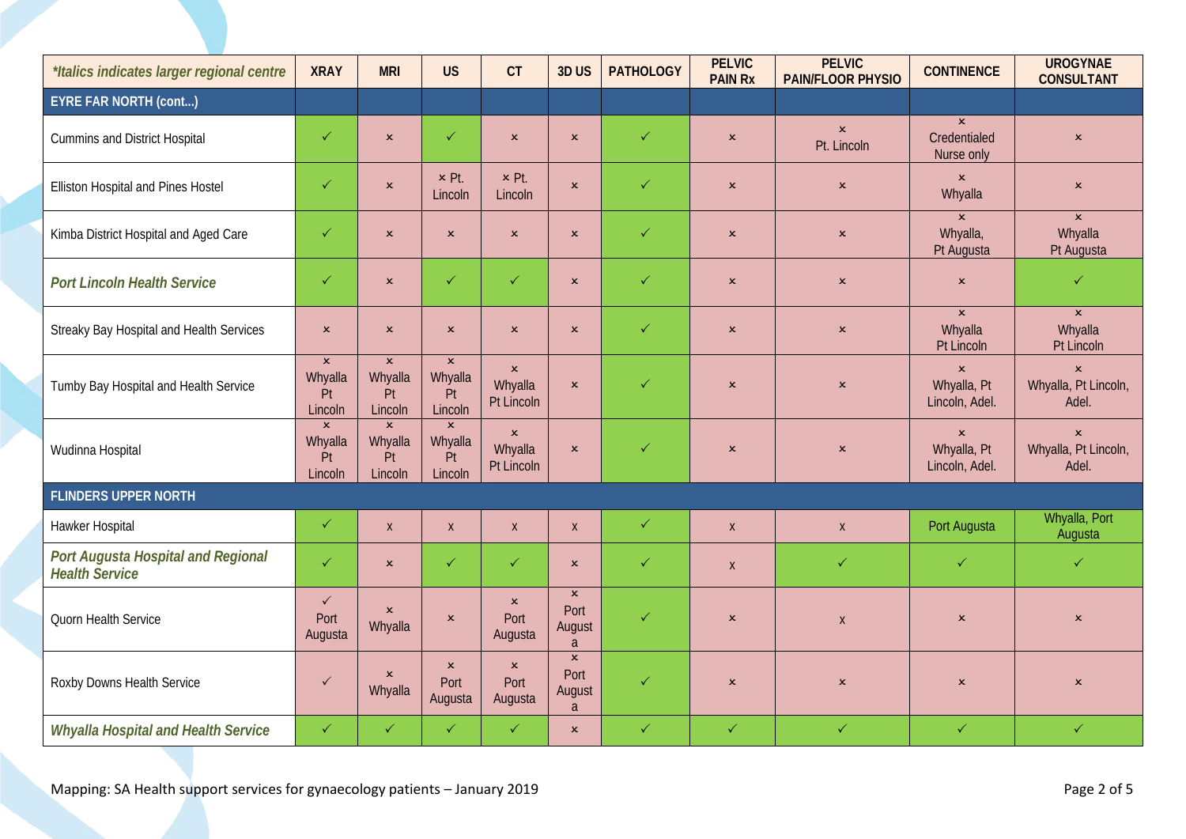| *Italics indicates larger regional centre                   | <b>XRAY</b>                                | <b>MRI</b>                               | <b>US</b>                                  | CT                                      | 3DUS                                  | <b>PATHOLOGY</b> | <b>PELVIC</b><br><b>PAIN Rx</b> | <b>PELVIC</b><br><b>PAIN/FLOOR PHYSIO</b> | <b>CONTINENCE</b>                               | <b>UROGYNAE</b><br><b>CONSULTANT</b>            |
|-------------------------------------------------------------|--------------------------------------------|------------------------------------------|--------------------------------------------|-----------------------------------------|---------------------------------------|------------------|---------------------------------|-------------------------------------------|-------------------------------------------------|-------------------------------------------------|
| <b>EYRE FAR NORTH (cont)</b>                                |                                            |                                          |                                            |                                         |                                       |                  |                                 |                                           |                                                 |                                                 |
| <b>Cummins and District Hospital</b>                        | $\checkmark$                               | $\mathbf{x}$                             | $\checkmark$                               | $\pmb{\times}$                          | $\pmb{\times}$                        | $\checkmark$     | $\pmb{\times}$                  | $\pmb{\times}$<br>Pt. Lincoln             | $\mathbf{x}$<br>Credentialed<br>Nurse only      | $\boldsymbol{\mathsf{x}}$                       |
| Elliston Hospital and Pines Hostel                          | $\checkmark$                               | $\pmb{\times}$                           | x Pt.<br>Lincoln                           | x Pt.<br>Lincoln                        | $\mathbf{x}$                          | $\checkmark$     | $\pmb{\times}$                  | $\pmb{\times}$                            | $\pmb{\times}$<br>Whyalla                       | $\pmb{\times}$                                  |
| Kimba District Hospital and Aged Care                       | $\checkmark$                               | $\pmb{\times}$                           | $\pmb{\times}$                             | $\pmb{\times}$                          | $\pmb{\times}$                        | $\checkmark$     | $\pmb{\times}$                  | $\pmb{\times}$                            | $\mathbf{x}$<br>Whyalla,<br>Pt Augusta          | $\mathbf{x}$<br>Whyalla<br>Pt Augusta           |
| <b>Port Lincoln Health Service</b>                          | $\checkmark$                               | $\pmb{\times}$                           | $\checkmark$                               | $\checkmark$                            | $\pmb{\times}$                        | $\checkmark$     | $\boldsymbol{\mathsf{x}}$       | $\pmb{\times}$                            | $\mathbf{x}$                                    | $\checkmark$                                    |
| Streaky Bay Hospital and Health Services                    | $\pmb{\times}$                             | $\boldsymbol{\mathsf{x}}$                | $\mathsf{x}$                               | $\pmb{\times}$                          | $\pmb{\times}$                        | $\checkmark$     | $\pmb{\times}$                  | $\pmb{\times}$                            | $\mathbf{x}$<br>Whyalla<br>Pt Lincoln           | $\mathbf{x}$<br>Whyalla<br>Pt Lincoln           |
| Tumby Bay Hospital and Health Service                       | $\pmb{\times}$<br>Whyalla<br>Pt<br>Lincoln | $\mathbf{x}$<br>Whyalla<br>Pt<br>Lincoln | $\mathbf{x}$<br>Whyalla<br>Pt<br>Lincoln   | $\pmb{\times}$<br>Whyalla<br>Pt Lincoln | $\pmb{\times}$                        | $\checkmark$     | $\pmb{\times}$                  | $\pmb{\times}$                            | $\pmb{\times}$<br>Whyalla, Pt<br>Lincoln, Adel. | $\pmb{\times}$<br>Whyalla, Pt Lincoln,<br>Adel. |
| Wudinna Hospital                                            | $\mathbf{x}$<br>Whyalla<br>Pt<br>Lincoln   | $\mathbf{x}$<br>Whyalla<br>Pt<br>Lincoln | $\pmb{\times}$<br>Whyalla<br>Pt<br>Lincoln | $\pmb{\times}$<br>Whyalla<br>Pt Lincoln | $\pmb{\times}$                        | $\checkmark$     | $\pmb{\times}$                  | $\pmb{\times}$                            | $\pmb{\times}$<br>Whyalla, Pt<br>Lincoln, Adel. | $\pmb{\times}$<br>Whyalla, Pt Lincoln,<br>Adel. |
| <b>FLINDERS UPPER NORTH</b>                                 |                                            |                                          |                                            |                                         |                                       |                  |                                 |                                           |                                                 |                                                 |
| Hawker Hospital                                             | $\checkmark$                               | $\pmb{\chi}$                             | $\mathsf{X}$                               | $\pmb{\mathsf{X}}$                      | $\pmb{\mathsf{X}}$                    | $\checkmark$     | $\mathsf X$                     | $\mathsf{X}$                              | Port Augusta                                    | Whyalla, Port<br>Augusta                        |
| Port Augusta Hospital and Regional<br><b>Health Service</b> | $\checkmark$                               | $\pmb{\times}$                           | $\checkmark$                               | $\checkmark$                            | $\pmb{\times}$                        | $\checkmark$     | $\mathsf{X}$                    | $\checkmark$                              | $\checkmark$                                    | $\checkmark$                                    |
| Quorn Health Service                                        | $\checkmark$<br>Port<br>Augusta            | $\mathbf{x}$<br>Whyalla                  | $\mathbf{x}$                               | $\pmb{\times}$<br>Port<br>Augusta       | $\pmb{\times}$<br>Port<br>August<br>a | $\checkmark$     | $\boldsymbol{\mathsf{x}}$       | $\mathsf{X}$                              | $\pmb{\times}$                                  | $\pmb{\times}$                                  |
| Roxby Downs Health Service                                  | $\checkmark$                               | $\pmb{\times}$<br>Whyalla                | $\mathsf{x}$<br>Port<br>Augusta            | $\mathbf{x}$<br>Port<br>Augusta         | $\pmb{\times}$<br>Port<br>August<br>a | $\checkmark$     | $\boldsymbol{\mathsf{x}}$       | $\pmb{\times}$                            | $\pmb{\times}$                                  | $\pmb{\times}$                                  |
| <b>Whyalla Hospital and Health Service</b>                  | $\checkmark$                               | $\checkmark$                             | $\checkmark$                               | $\checkmark$                            | $\pmb{\times}$                        | $\checkmark$     | $\checkmark$                    | $\checkmark$                              | $\checkmark$                                    | $\checkmark$                                    |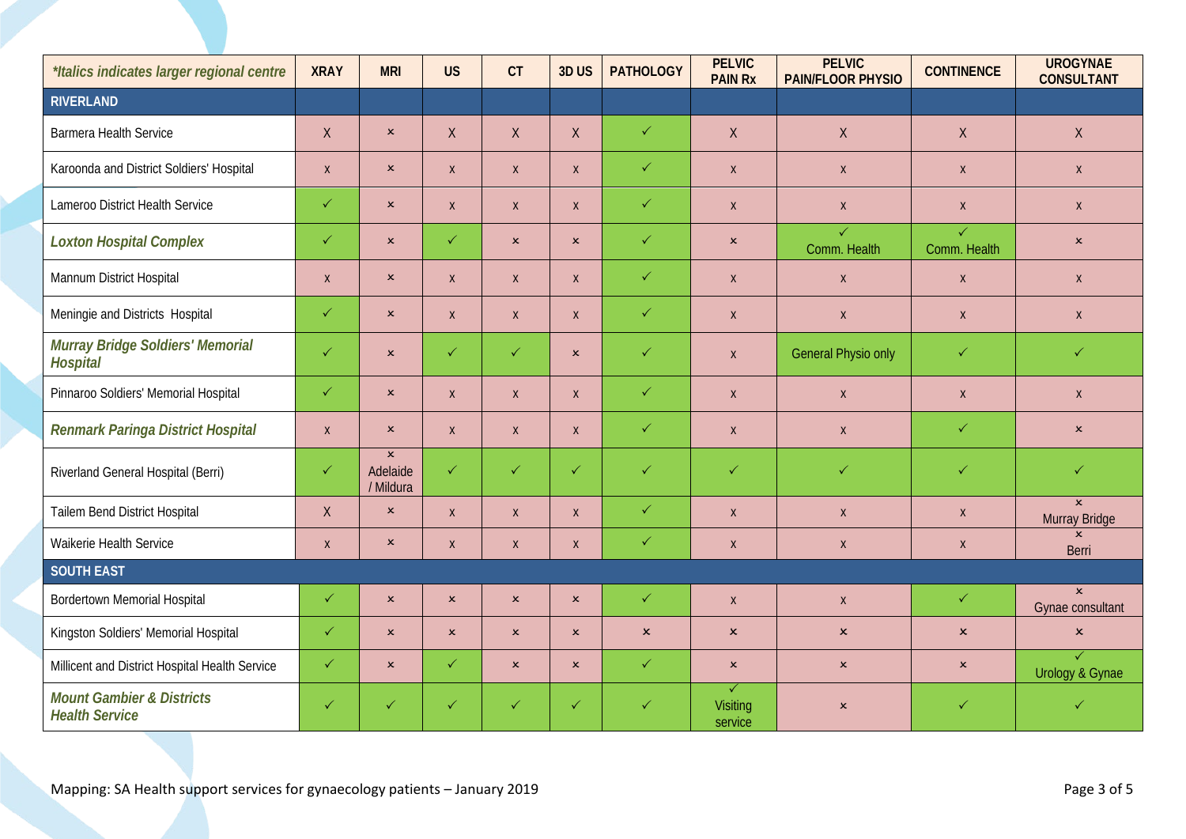| *Italics indicates larger regional centre                     | <b>XRAY</b>  | <b>MRI</b>                              | <b>US</b>                 | CT             | 3DUS                      | <b>PATHOLOGY</b> | <b>PELVIC</b><br><b>PAIN Rx</b> | <b>PELVIC</b><br><b>PAIN/FLOOR PHYSIO</b> | <b>CONTINENCE</b>            | <b>UROGYNAE</b><br><b>CONSULTANT</b> |
|---------------------------------------------------------------|--------------|-----------------------------------------|---------------------------|----------------|---------------------------|------------------|---------------------------------|-------------------------------------------|------------------------------|--------------------------------------|
| <b>RIVERLAND</b>                                              |              |                                         |                           |                |                           |                  |                                 |                                           |                              |                                      |
| <b>Barmera Health Service</b>                                 | X            | $\pmb{\times}$                          | $\mathsf{X}$              | $\sf X$        | X                         | $\checkmark$     | $\mathsf{X}$                    | $\mathsf{X}$                              | $\sf X$                      | $\mathsf X$                          |
| Karoonda and District Soldiers' Hospital                      | $\mathsf{X}$ | $\pmb{\times}$                          | $\mathsf X$               | $\mathsf X$    | $\pmb{\mathsf{X}}$        | $\checkmark$     | $\mathsf X$                     | $\mathsf X$                               | $\pmb{\mathsf{X}}$           | $\mathsf X$                          |
| Lameroo District Health Service                               | $\checkmark$ | $\pmb{\times}$                          | $\mathsf{X}$              | $\mathsf X$    | $\pmb{\mathsf{X}}$        | $\checkmark$     | $\mathsf{X}$                    | $\mathsf X$                               | $\pmb{\mathsf{X}}$           | $\mathsf{X}$                         |
| <b>Loxton Hospital Complex</b>                                | $\checkmark$ | $\pmb{\times}$                          | $\checkmark$              | $\pmb{\times}$ | $\mathsf{x}$              | $\checkmark$     | $\pmb{\times}$                  | $\checkmark$<br>Comm. Health              | $\checkmark$<br>Comm. Health | $\pmb{\times}$                       |
| Mannum District Hospital                                      | $\mathsf{X}$ | $\pmb{\times}$                          | $\mathsf{X}$              | $\mathsf X$    | $\mathsf{X}$              | $\checkmark$     | $\mathsf{X}$                    | $\mathsf X$                               | $\pmb{\mathsf{X}}$           | $\mathsf{X}$                         |
| Meningie and Districts Hospital                               | $\checkmark$ | $\pmb{\times}$                          | $\mathsf X$               | $\mathsf X$    | $\pmb{\mathsf{X}}$        | $\checkmark$     | $\mathsf X$                     | $\mathsf X$                               | $\pmb{\mathsf{X}}$           | $\mathsf X$                          |
| Murray Bridge Soldiers' Memorial<br><b>Hospital</b>           | $\checkmark$ | $\pmb{\times}$                          | $\checkmark$              | $\checkmark$   | $\mathsf{x}$              | $\checkmark$     | $\mathsf{X}$                    | <b>General Physio only</b>                | $\checkmark$                 | $\checkmark$                         |
| Pinnaroo Soldiers' Memorial Hospital                          | $\checkmark$ | $\pmb{\times}$                          | $\mathsf{X}$              | $\mathsf{X}$   | $\mathsf{X}$              | $\checkmark$     | $\mathsf{X}$                    | $\mathsf{X}$                              | $\pmb{\mathsf{X}}$           | $\mathsf{X}$                         |
| Renmark Paringa District Hospital                             | $\mathsf{X}$ | $\pmb{\times}$                          | $\mathsf{X}$              | $\mathsf X$    | $\pmb{\mathsf{X}}$        | $\checkmark$     | $\mathsf{X}$                    | $\mathsf X$                               | $\checkmark$                 | $\boldsymbol{\mathsf{x}}$            |
| Riverland General Hospital (Berri)                            | $\checkmark$ | $\pmb{\times}$<br>Adelaide<br>/ Mildura | $\checkmark$              | $\checkmark$   | $\checkmark$              | $\checkmark$     | $\checkmark$                    | $\checkmark$                              | $\checkmark$                 | $\checkmark$                         |
| Tailem Bend District Hospital                                 | X            | $\pmb{\times}$                          | $\mathsf{X}$              | X              | $\mathsf{X}$              | $\checkmark$     | $\mathsf{X}$                    | $\mathsf{X}$                              | $\mathsf{X}$                 | $\mathsf{x}$<br>Murray Bridge        |
| Waikerie Health Service                                       | $\mathsf{X}$ | $\pmb{\times}$                          | $\mathsf{X}$              | X              | $\mathsf{X}$              | $\checkmark$     | $\mathsf{X}$                    | $\mathsf{X}$                              | $\pmb{\mathsf{X}}$           | $\mathsf{x}$<br>Berri                |
| <b>SOUTH EAST</b>                                             |              |                                         |                           |                |                           |                  |                                 |                                           |                              |                                      |
| <b>Bordertown Memorial Hospital</b>                           | $\checkmark$ | $\pmb{\times}$                          | $\boldsymbol{\mathsf{x}}$ | $\pmb{\times}$ | $\pmb{\times}$            | $\checkmark$     | $\mathsf{X}$                    | $\mathsf{X}$                              | $\checkmark$                 | $\mathbf{x}$<br>Gynae consultant     |
| Kingston Soldiers' Memorial Hospital                          | $\checkmark$ | $\pmb{\times}$                          | $\mathbf{x}$              | $\pmb{\times}$ | $\boldsymbol{\mathsf{x}}$ | $\pmb{\times}$   | $\pmb{\times}$                  | $\mathsf{x}$                              | $\boldsymbol{\mathsf{x}}$    | $\pmb{\times}$                       |
| Millicent and District Hospital Health Service                | $\checkmark$ | $\pmb{\times}$                          | $\checkmark$              | $\mathsf{x}$   | $\mathsf{x}$              | $\checkmark$     | $\mathbf{x}$                    | $\pmb{\times}$                            | $\boldsymbol{\mathsf{x}}$    | $\checkmark$<br>Urology & Gynae      |
| <b>Mount Gambier &amp; Districts</b><br><b>Health Service</b> | $\checkmark$ | $\checkmark$                            | $\checkmark$              | $\checkmark$   | $\checkmark$              | $\checkmark$     | ✓<br><b>Visiting</b><br>service | $\pmb{\times}$                            | $\checkmark$                 | $\checkmark$                         |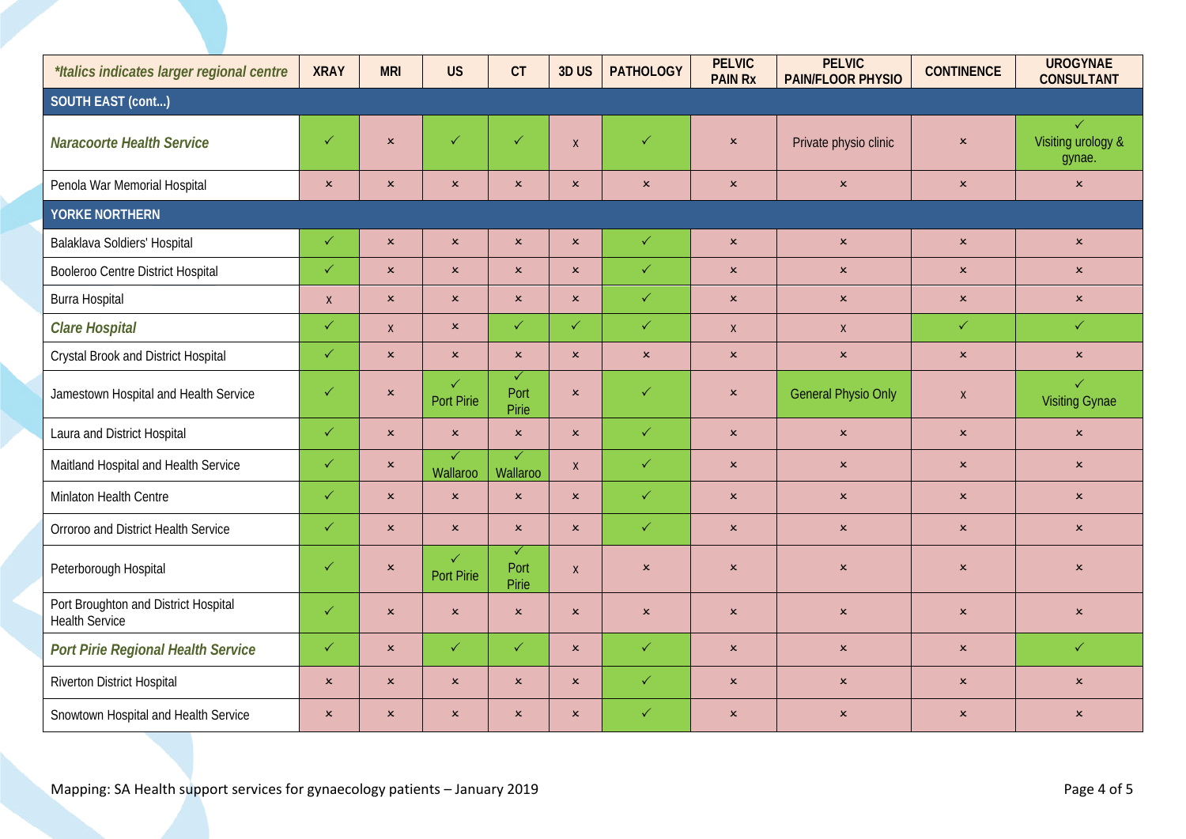| *Italics indicates larger regional centre                     | <b>XRAY</b>    | <b>MRI</b>     | <b>US</b>                           | CT                            | 3DUS             | <b>PATHOLOGY</b> | <b>PELVIC</b><br><b>PAIN Rx</b> | <b>PELVIC</b><br>PAIN/FLOOR PHYSIO | <b>CONTINENCE</b>         | <b>UROGYNAE</b><br><b>CONSULTANT</b>         |  |  |
|---------------------------------------------------------------|----------------|----------------|-------------------------------------|-------------------------------|------------------|------------------|---------------------------------|------------------------------------|---------------------------|----------------------------------------------|--|--|
| SOUTH EAST (cont)                                             |                |                |                                     |                               |                  |                  |                                 |                                    |                           |                                              |  |  |
| <b>Naracoorte Health Service</b>                              | $\checkmark$   | $\pmb{\times}$ | $\checkmark$                        | $\checkmark$                  | $\boldsymbol{X}$ | $\checkmark$     | $\pmb{\times}$                  | Private physio clinic              | $\pmb{\times}$            | $\checkmark$<br>Visiting urology &<br>gynae. |  |  |
| Penola War Memorial Hospital                                  | $\pmb{\times}$ | $\pmb{\times}$ | $\pmb{\times}$                      | $\pmb{\times}$                | $\pmb{\times}$   | $\pmb{\times}$   | $\pmb{\times}$                  | $\pmb{\times}$                     | $\pmb{\times}$            | $\pmb{\times}$                               |  |  |
| <b>YORKE NORTHERN</b>                                         |                |                |                                     |                               |                  |                  |                                 |                                    |                           |                                              |  |  |
| Balaklava Soldiers' Hospital                                  | $\checkmark$   | $\pmb{\times}$ | $\pmb{\times}$                      | $\pmb{\times}$                | $\pmb{\times}$   | $\checkmark$     | $\pmb{\times}$                  | $\pmb{\times}$                     | $\pmb{\times}$            | $\pmb{\times}$                               |  |  |
| Booleroo Centre District Hospital                             | $\checkmark$   | $\pmb{\times}$ | $\pmb{\times}$                      | $\pmb{\times}$                | $\mathbf{x}$     | $\checkmark$     | $\mathbf{x}$                    | $\pmb{\times}$                     | $\pmb{\times}$            | $\pmb{\times}$                               |  |  |
| Burra Hospital                                                | $\mathsf{X}$   | $\pmb{\times}$ | $\pmb{\times}$                      | $\pmb{\times}$                | $\pmb{\times}$   | $\checkmark$     | $\pmb{\times}$                  | $\boldsymbol{\mathsf{x}}$          | $\boldsymbol{\mathsf{x}}$ | $\boldsymbol{\mathsf{x}}$                    |  |  |
| <b>Clare Hospital</b>                                         | $\checkmark$   | $\mathsf{X}$   | $\pmb{\times}$                      | $\checkmark$                  | $\checkmark$     | $\checkmark$     | $\mathsf{X}$                    | $\mathsf{X}$                       | $\checkmark$              | $\checkmark$                                 |  |  |
| Crystal Brook and District Hospital                           | $\checkmark$   | $\pmb{\times}$ | $\pmb{\times}$                      | $\pmb{\times}$                | $\pmb{\times}$   | $\pmb{\times}$   | $\pmb{\times}$                  | $\pmb{\times}$                     | $\pmb{\times}$            | $\pmb{\times}$                               |  |  |
| Jamestown Hospital and Health Service                         | $\checkmark$   | $\pmb{\times}$ | $\checkmark$<br>Port Pirie          | $\checkmark$<br>Port<br>Pirie | $\pmb{\times}$   | $\checkmark$     | $\mathbf{x}$                    | <b>General Physio Only</b>         | $\mathsf{X}$              | $\checkmark$<br><b>Visiting Gynae</b>        |  |  |
| Laura and District Hospital                                   | $\checkmark$   | $\mathbf{x}$   | $\pmb{\times}$                      | $\pmb{\times}$                | $\mathbf{x}$     | $\checkmark$     | $\pmb{\times}$                  | $\pmb{\times}$                     | $\pmb{\times}$            | $\pmb{\times}$                               |  |  |
| Maitland Hospital and Health Service                          | $\checkmark$   | $\pmb{\times}$ | $\overline{\checkmark}$<br>Wallaroo | $\sqrt{}$<br>Wallaroo         | $\mathsf X$      | $\checkmark$     | $\pmb{\times}$                  | $\mathsf{x}$                       | $\pmb{\times}$            | $\pmb{\times}$                               |  |  |
| Minlaton Health Centre                                        | $\checkmark$   | $\mathbf{x}$   | $\pmb{\times}$                      | $\pmb{\times}$                | $\mathbf{x}$     | $\checkmark$     | $\pmb{\times}$                  | $\pmb{\times}$                     | $\pmb{\times}$            | $\pmb{\times}$                               |  |  |
| Orroroo and District Health Service                           | $\checkmark$   | $\pmb{\times}$ | $\pmb{\times}$                      | $\pmb{\times}$                | $\mathbf{x}$     | $\checkmark$     | $\pmb{\times}$                  | $\pmb{\times}$                     | $\pmb{\times}$            | $\pmb{\times}$                               |  |  |
| Peterborough Hospital                                         | $\checkmark$   | $\pmb{\times}$ | $\checkmark$<br>Port Pirie          | $\checkmark$<br>Port<br>Pirie | $\mathsf{X}$     | $\pmb{\times}$   | $\pmb{\times}$                  | $\pmb{\times}$                     | $\pmb{\times}$            | $\pmb{\times}$                               |  |  |
| Port Broughton and District Hospital<br><b>Health Service</b> | $\checkmark$   | $\pmb{\times}$ | $\pmb{\times}$                      | $\mathbf{x}$                  | $\mathbf{x}$     | $\pmb{\times}$   | $\mathbf{x}$                    | $\pmb{\times}$                     | $\pmb{\times}$            | $\pmb{\times}$                               |  |  |
| Port Pirie Regional Health Service                            | $\checkmark$   | $\pmb{\times}$ | $\checkmark$                        | $\checkmark$                  | $\mathbf{x}$     | $\checkmark$     | $\mathbf{x}$                    | $\pmb{\times}$                     | $\pmb{\times}$            | $\checkmark$                                 |  |  |
| Riverton District Hospital                                    | $\pmb{\times}$ | $\mathbf{x}$   | $\pmb{\times}$                      | $\mathsf{x}$                  | $\pmb{\times}$   | $\checkmark$     | $\boldsymbol{\mathsf{x}}$       | $\mathsf{x}$                       | $\pmb{\times}$            | $\pmb{\times}$                               |  |  |
| Snowtown Hospital and Health Service                          | $\pmb{\times}$ | $\mathbf{x}$   | $\mathbf x$                         | $\mathbf{x}$                  | $\mathbf{x}$     | $\checkmark$     | $\pmb{\times}$                  | $\pmb{\times}$                     | $\pmb{\times}$            | $\pmb{\times}$                               |  |  |